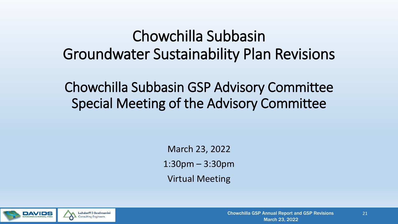#### Chowchilla Subbasin Groundwater Sustainability Plan Revisions

Chowchilla Subbasin GSP Advisory Committee Special Meeting of the Advisory Committee

> March 23, 2022 1:30pm – 3:30pm Virtual Meeting

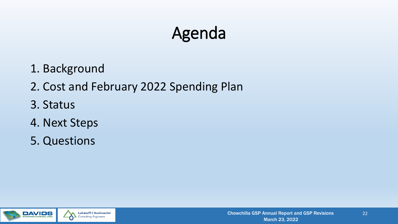#### Agenda

- 1. Background
- 2. Cost and February 2022 Spending Plan
- 3. Status
- 4. Next Steps
- 5. Questions

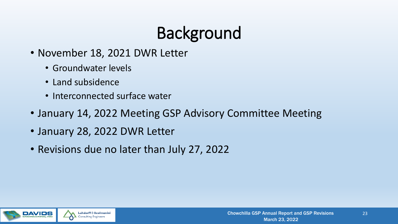## Background

- November 18, 2021 DWR Letter
	- Groundwater levels
	- Land subsidence
	- Interconnected surface water
- January 14, 2022 Meeting GSP Advisory Committee Meeting
- January 28, 2022 DWR Letter
- Revisions due no later than July 27, 2022

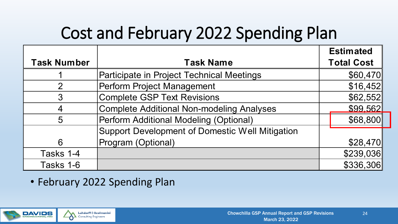### Cost and February 2022 Spending Plan

|                    |                                                 | <b>Estimated</b>  |
|--------------------|-------------------------------------------------|-------------------|
| <b>Task Number</b> | <b>Task Name</b>                                | <b>Total Cost</b> |
|                    | Participate in Project Technical Meetings       | \$60,470          |
| $\overline{2}$     | Perform Project Management                      | \$16,452          |
| 3                  | <b>Complete GSP Text Revisions</b>              | \$62,552          |
| 4                  | Complete Additional Non-modeling Analyses       | \$99.562          |
| 5                  | Perform Additional Modeling (Optional)          | \$68,800          |
|                    | Support Development of Domestic Well Mitigation |                   |
| 6                  | Program (Optional)                              | \$28,470          |
| Tasks 1-4          |                                                 | \$239,036         |
| Tasks 1-6          |                                                 | \$336,306         |

• February 2022 Spending Plan

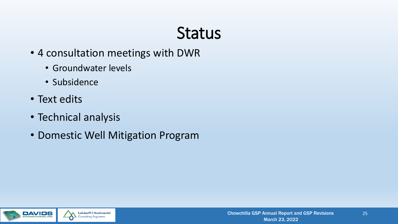#### **Status**

- 4 consultation meetings with DWR
	- Groundwater levels
	- Subsidence
- Text edits
- Technical analysis
- Domestic Well Mitigation Program

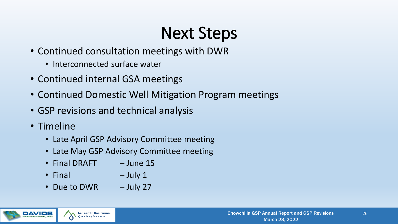## Next Steps

- Continued consultation meetings with DWR
	- Interconnected surface water
- Continued internal GSA meetings
- Continued Domestic Well Mitigation Program meetings
- GSP revisions and technical analysis
- Timeline
	- Late April GSP Advisory Committee meeting
	- Late May GSP Advisory Committee meeting
	- Final DRAFT June 15
	- Final  $-$  July 1
	- Due to DWR July 27

**Luhdorff & Scalmanini Consulting Engineers**